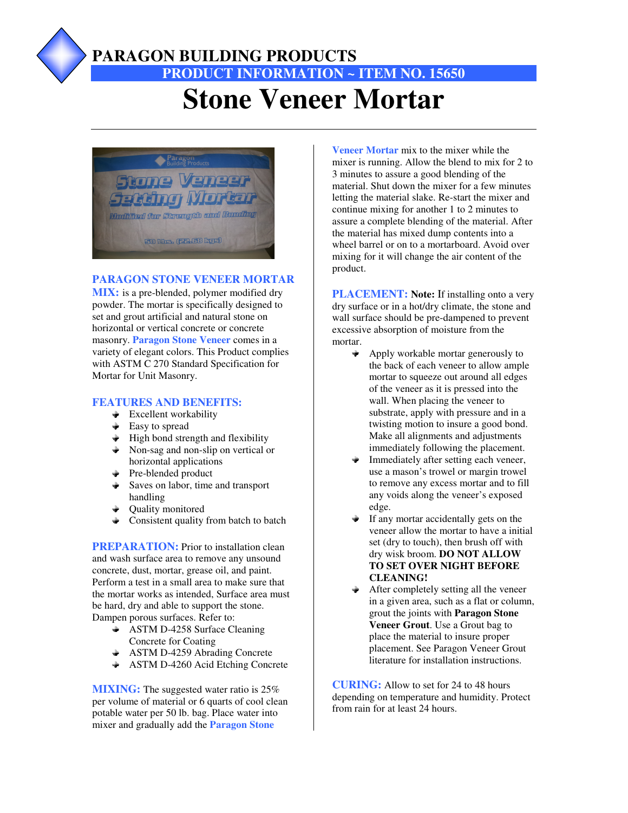

### **PARAGON BUILDING PRODUCTS**

## **PRODUCT INFORMATION ~ ITEM NO. 15650 Stone Veneer Mortar**



#### **PARAGON STONE VENEER MORTAR**

**MIX:** is a pre-blended, polymer modified dry powder. The mortar is specifically designed to set and grout artificial and natural stone on horizontal or vertical concrete or concrete masonry. **Paragon Stone Veneer** comes in a variety of elegant colors. This Product complies with ASTM C 270 Standard Specification for Mortar for Unit Masonry.

#### **FEATURES AND BENEFITS:**

- $\triangleq$  Excellent workability
- Easy to spread
- $\div$  High bond strength and flexibility
- Non-sag and non-slip on vertical or horizontal applications
- **←** Pre-blended product
- **►** Saves on labor, time and transport handling
- Quality monitored
- Consistent quality from batch to batch

**PREPARATION:** Prior to installation clean and wash surface area to remove any unsound concrete, dust, mortar, grease oil, and paint. Perform a test in a small area to make sure that the mortar works as intended, Surface area must be hard, dry and able to support the stone. Dampen porous surfaces. Refer to:

- **+** ASTM D-4258 Surface Cleaning Concrete for Coating
- **ASTM D-4259 Abrading Concrete**
- + ASTM D-4260 Acid Etching Concrete

**MIXING:** The suggested water ratio is 25% per volume of material or 6 quarts of cool clean potable water per 50 lb. bag. Place water into mixer and gradually add the **Paragon Stone** 

**Veneer Mortar** mix to the mixer while the mixer is running. Allow the blend to mix for 2 to 3 minutes to assure a good blending of the material. Shut down the mixer for a few minutes letting the material slake. Re-start the mixer and continue mixing for another 1 to 2 minutes to assure a complete blending of the material. After the material has mixed dump contents into a wheel barrel or on to a mortarboard. Avoid over mixing for it will change the air content of the product.

**PLACEMENT: Note:** If installing onto a very dry surface or in a hot/dry climate, the stone and wall surface should be pre-dampened to prevent excessive absorption of moisture from the mortar.

- Apply workable mortar generously to the back of each veneer to allow ample mortar to squeeze out around all edges of the veneer as it is pressed into the wall. When placing the veneer to substrate, apply with pressure and in a twisting motion to insure a good bond. Make all alignments and adjustments immediately following the placement.
- Immediately after setting each veneer, use a mason's trowel or margin trowel to remove any excess mortar and to fill any voids along the veneer's exposed edge.
- If any mortar accidentally gets on the veneer allow the mortar to have a initial set (dry to touch), then brush off with dry wisk broom. **DO NOT ALLOW TO SET OVER NIGHT BEFORE CLEANING!**
- After completely setting all the veneer in a given area, such as a flat or column, grout the joints with **Paragon Stone Veneer Grout**. Use a Grout bag to place the material to insure proper placement. See Paragon Veneer Grout literature for installation instructions.

**CURING:** Allow to set for 24 to 48 hours depending on temperature and humidity. Protect from rain for at least 24 hours.